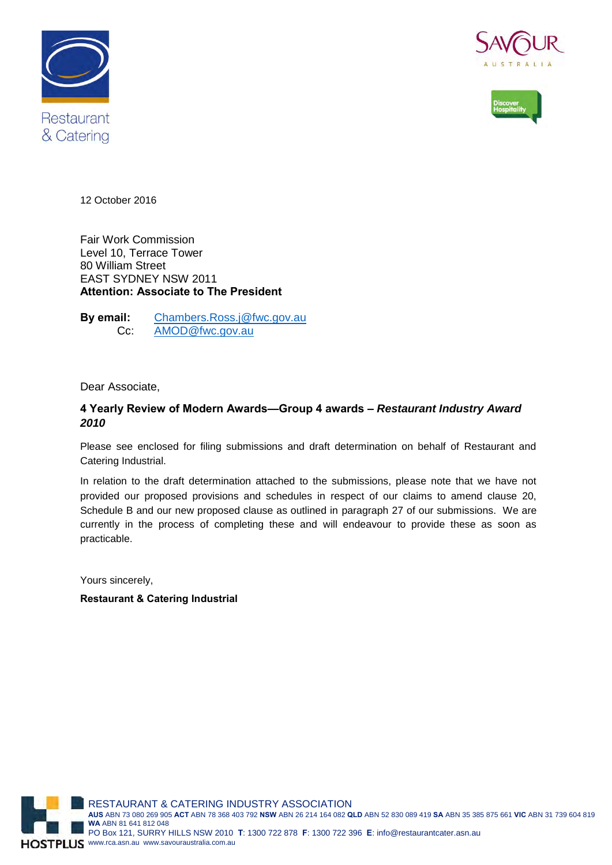





12 October 2016

Fair Work Commission Level 10, Terrace Tower 80 William Street EAST SYDNEY NSW 2011 **Attention: Associate to The President**

**By email:** [Chambers.Ross.j@fwc.gov.au](mailto:Chambers.Ross.j@fwc.gov.au) Cc: [AMOD@fwc.gov.au](mailto:AMOD@fwc.gov.au)

#### Dear Associate,

#### **4 Yearly Review of Modern Awards—Group 4 awards –** *Restaurant Industry Award 2010*

Please see enclosed for filing submissions and draft determination on behalf of Restaurant and Catering Industrial.

In relation to the draft determination attached to the submissions, please note that we have not provided our proposed provisions and schedules in respect of our claims to amend clause 20, Schedule B and our new proposed clause as outlined in paragraph 27 of our submissions. We are currently in the process of completing these and will endeavour to provide these as soon as practicable.

Yours sincerely,

**Restaurant & Catering Industrial**

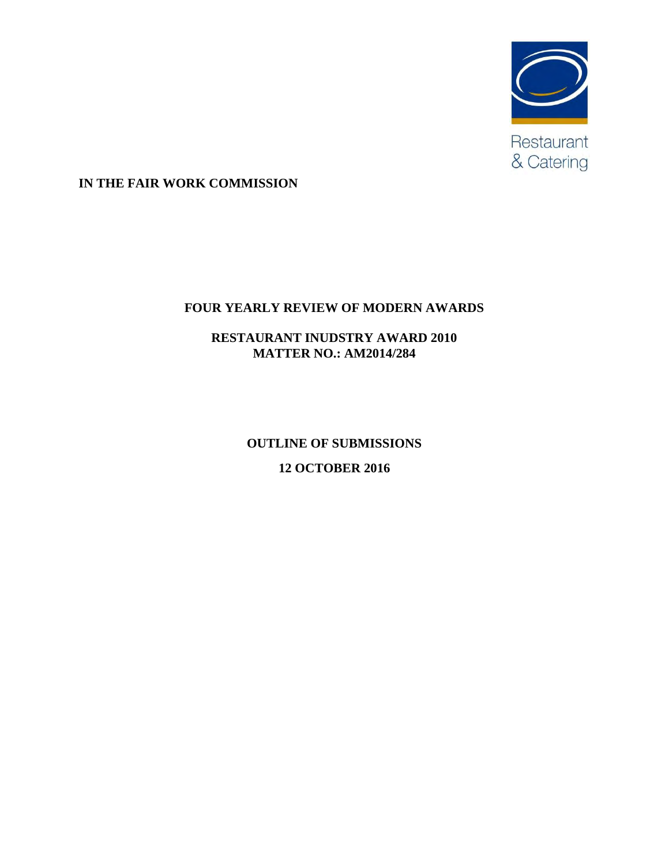

**IN THE FAIR WORK COMMISSION**

## **FOUR YEARLY REVIEW OF MODERN AWARDS**

**RESTAURANT INUDSTRY AWARD 2010 MATTER NO.: AM2014/284**

> **OUTLINE OF SUBMISSIONS 12 OCTOBER 2016**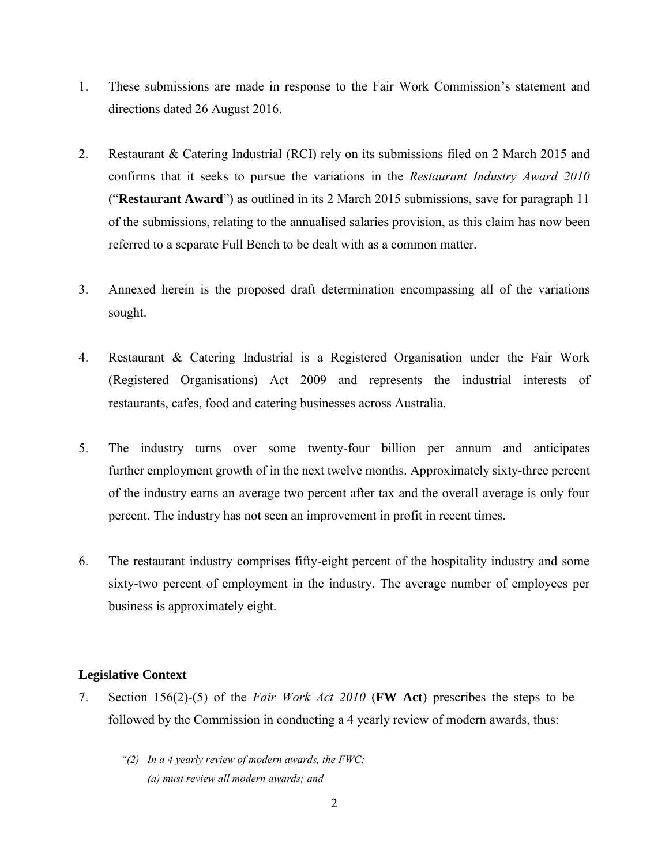- 1. These submissions are made in response to the Fair Work Commission's statement and directions dated 26 August 2016.
- 2. Restaurant & Catering Industrial (RCI) rely on its submissions filed on 2 March 2015 and confirms that it seeks to pursue the variations in the *Restaurant Industry Award 2010*  ("**Restaurant Award**") as outlined in its 2 March 2015 submissions, save for paragraph 11 of the submissions, relating to the annualised salaries provision, as this claim has now been referred to a separate Full Bench to be dealt with as a common matter.
- 3. Annexed herein is the proposed draft determination encompassing all of the variations sought.
- 4. Restaurant & Catering Industrial is a Registered Organisation under the Fair Work (Registered Organisations) Act 2009 and represents the industrial interests of restaurants, cafes, food and catering businesses across Australia.
- 5. The industry turns over some twenty-four billion per annum and anticipates further employment growth of in the next twelve months. Approximately sixty-three percent of the industry earns an average two percent after tax and the overall average is only four percent. The industry has not seen an improvement in profit in recent times.
- 6. The restaurant industry comprises fifty-eight percent of the hospitality industry and some sixty-two percent of employment in the industry. The average number of employees per business is approximately eight.

#### **Legislative Context**

- 7. Section 156(2)-(5) of the *Fair Work Act 2010* (**FW Act**) prescribes the steps to be followed by the Commission in conducting a 4 yearly review of modern awards, thus:
	- *"(2) In a 4 yearly review of modern awards, the FWC: (a) must review all modern awards; and*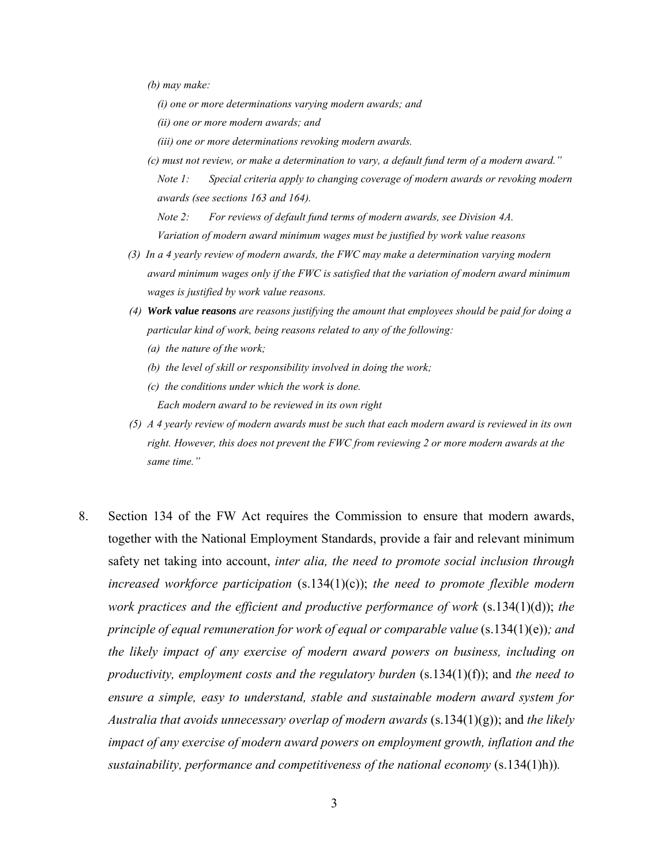*(b) may make:*

*(i) one or more determinations varying modern awards; and*

*(ii) one or more modern awards; and*

- *(iii) one or more determinations revoking modern awards.*
- *(c) must not review, or make a determination to vary, a default fund term of a modern award." Note 1: Special criteria apply to changing coverage of modern awards or revoking modern awards (see sections 163 and 164).*

*Note 2: For reviews of default fund terms of modern awards, see Division 4A. Variation of modern award minimum wages must be justified by work value reasons*

- *(3) In a 4 yearly review of modern awards, the FWC may make a determination varying modern award minimum wages only if the FWC is satisfied that the variation of modern award minimum wages is justified by work value reasons.*
- *(4) Work value reasons are reasons justifying the amount that employees should be paid for doing a particular kind of work, being reasons related to any of the following:*
	- *(a) the nature of the work;*
	- *(b) the level of skill or responsibility involved in doing the work;*
	- *(c) the conditions under which the work is done.*

*Each modern award to be reviewed in its own right*

- *(5) A 4 yearly review of modern awards must be such that each modern award is reviewed in its own right. However, this does not prevent the FWC from reviewing 2 or more modern awards at the same time."*
- 8. Section 134 of the FW Act requires the Commission to ensure that modern awards, together with the National Employment Standards, provide a fair and relevant minimum safety net taking into account, *inter alia, the need to promote social inclusion through increased workforce participation* (s.134(1)(c)); *the need to promote flexible modern work practices and the efficient and productive performance of work* (s.134(1)(d)); *the principle of equal remuneration for work of equal or comparable value* (s.134(1)(e)); and *the likely impact of any exercise of modern award powers on business, including on productivity, employment costs and the regulatory burden* (s.134(1)(f)); and *the need to ensure a simple, easy to understand, stable and sustainable modern award system for Australia that avoids unnecessary overlap of modern awards* (s.134(1)(g)); and *the likely impact of any exercise of modern award powers on employment growth, inflation and the sustainability, performance and competitiveness of the national economy* (s.134(1)h))*.*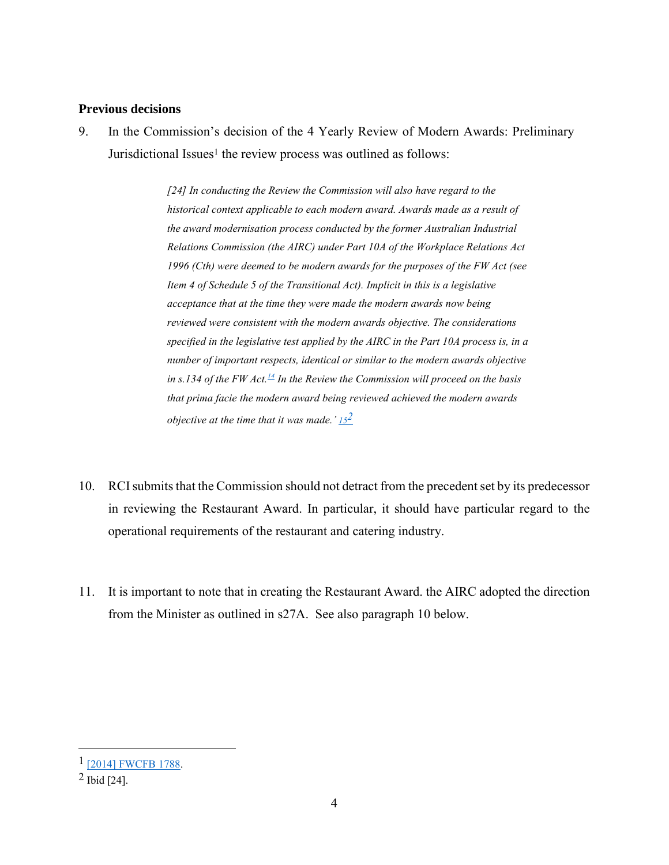#### **Previous decisions**

9. In the Commission's decision of the 4 Yearly Review of Modern Awards: Preliminary Jurisdictional Issues<sup>1</sup> the review process was outlined as follows:

> *[24] In conducting the Review the Commission will also have regard to the historical context applicable to each modern award. Awards made as a result of the award modernisation process conducted by the former Australian Industrial Relations Commission (the AIRC) under Part 10A of the Workplace Relations Act 1996 (Cth) were deemed to be modern awards for the purposes of the FW Act (see Item 4 of Schedule 5 of the Transitional Act). Implicit in this is a legislative acceptance that at the time they were made the modern awards now being reviewed were consistent with the modern awards objective. The considerations specified in the legislative test applied by the AIRC in the Part 10A process is, in a number of important respects, identical or similar to the modern awards objective in s.134 of the FW Act.[14](https://www.fwc.gov.au/documents/decisionssigned/html/2016FWCFB3177.htm#P286_14990) In the Review the Commission will proceed on the basis that prima facie the modern award being reviewed achieved the modern awards objective at the time that it was made.' [15](https://www.fwc.gov.au/documents/decisionssigned/html/2016FWCFB3177.htm#P287_15230)2*

- 10. RCI submits that the Commission should not detract from the precedent set by its predecessor in reviewing the Restaurant Award. In particular, it should have particular regard to the operational requirements of the restaurant and catering industry.
- 11. It is important to note that in creating the Restaurant Award. the AIRC adopted the direction from the Minister as outlined in s27A. See also paragraph 10 below.

<sup>1</sup> [\[2014\] FWCFB 1788.](https://www.fwc.gov.au/documents/decisionssigned/html/2014fwcfb1788.htm)

<sup>2</sup> Ibid [24].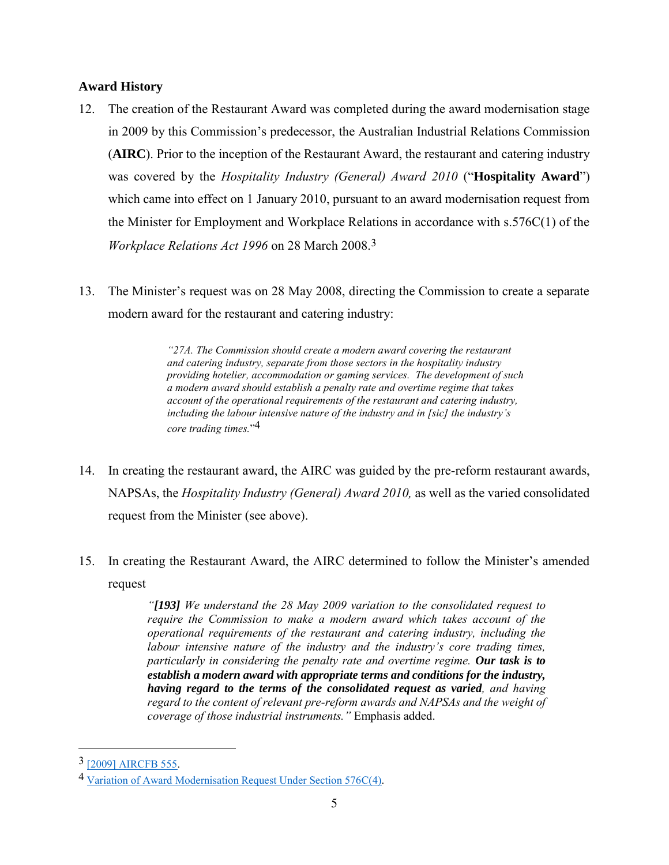#### **Award History**

- 12. The creation of the Restaurant Award was completed during the award modernisation stage in 2009 by this Commission's predecessor, the Australian Industrial Relations Commission (**AIRC**). Prior to the inception of the Restaurant Award, the restaurant and catering industry was covered by the *Hospitality Industry (General) Award 2010* ("**Hospitality Award**") which came into effect on 1 January 2010, pursuant to an award modernisation request from the Minister for Employment and Workplace Relations in accordance with s.576C(1) of the *Workplace Relations Act 1996* on 28 March 2008.3
- 13. The Minister's request was on 28 May 2008, directing the Commission to create a separate modern award for the restaurant and catering industry:

*"27A. The Commission should create a modern award covering the restaurant and catering industry, separate from those sectors in the hospitality industry providing hotelier, accommodation or gaming services. The development of such a modern award should establish a penalty rate and overtime regime that takes account of the operational requirements of the restaurant and catering industry, including the labour intensive nature of the industry and in [sic] the industry's core trading times.*" 4

- 14. In creating the restaurant award, the AIRC was guided by the pre-reform restaurant awards, NAPSAs, the *Hospitality Industry (General) Award 2010,* as well as the varied consolidated request from the Minister (see above).
- 15. In creating the Restaurant Award, the AIRC determined to follow the Minister's amended request

*"[193] We understand the 28 May 2009 variation to the consolidated request to require the Commission to make a modern award which takes account of the operational requirements of the restaurant and catering industry, including the labour intensive nature of the industry and the industry's core trading times, particularly in considering the penalty rate and overtime regime. Our task is to establish a modern award with appropriate terms and conditions for the industry, having regard to the terms of the consolidated request as varied, and having regard to the content of relevant pre-reform awards and NAPSAs and the weight of coverage of those industrial instruments."* Emphasis added.

<sup>3</sup> [\[2009\] AIRCFB 555.](http://www.airc.gov.au/awardmod/databases/rest/Decisions/2009aircfb555.htm) 

<sup>4</sup> [Variation of Award Modernisation Request Under Section 576C\(4\).](http://www.airc.gov.au/awardmod/download/request_variation_290509.pdf)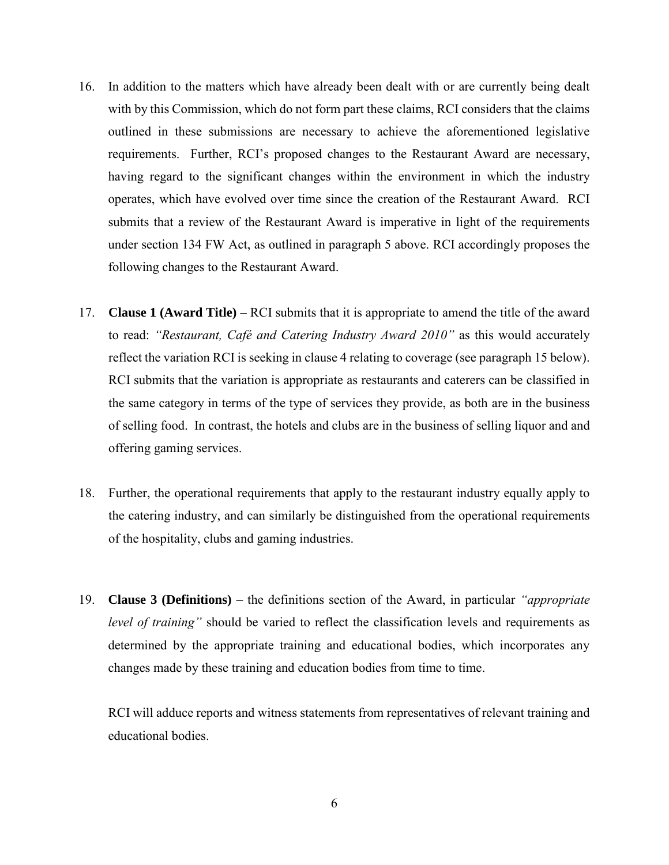- 16. In addition to the matters which have already been dealt with or are currently being dealt with by this Commission, which do not form part these claims, RCI considers that the claims outlined in these submissions are necessary to achieve the aforementioned legislative requirements. Further, RCI's proposed changes to the Restaurant Award are necessary, having regard to the significant changes within the environment in which the industry operates, which have evolved over time since the creation of the Restaurant Award. RCI submits that a review of the Restaurant Award is imperative in light of the requirements under section 134 FW Act, as outlined in paragraph 5 above. RCI accordingly proposes the following changes to the Restaurant Award.
- 17. **Clause 1 (Award Title)** RCI submits that it is appropriate to amend the title of the award to read: *"Restaurant, Café and Catering Industry Award 2010"* as this would accurately reflect the variation RCI is seeking in clause 4 relating to coverage (see paragraph 15 below). RCI submits that the variation is appropriate as restaurants and caterers can be classified in the same category in terms of the type of services they provide, as both are in the business of selling food. In contrast, the hotels and clubs are in the business of selling liquor and and offering gaming services.
- 18. Further, the operational requirements that apply to the restaurant industry equally apply to the catering industry, and can similarly be distinguished from the operational requirements of the hospitality, clubs and gaming industries.
- 19. **Clause 3 (Definitions)** the definitions section of the Award, in particular *"appropriate level of training"* should be varied to reflect the classification levels and requirements as determined by the appropriate training and educational bodies, which incorporates any changes made by these training and education bodies from time to time.

RCI will adduce reports and witness statements from representatives of relevant training and educational bodies.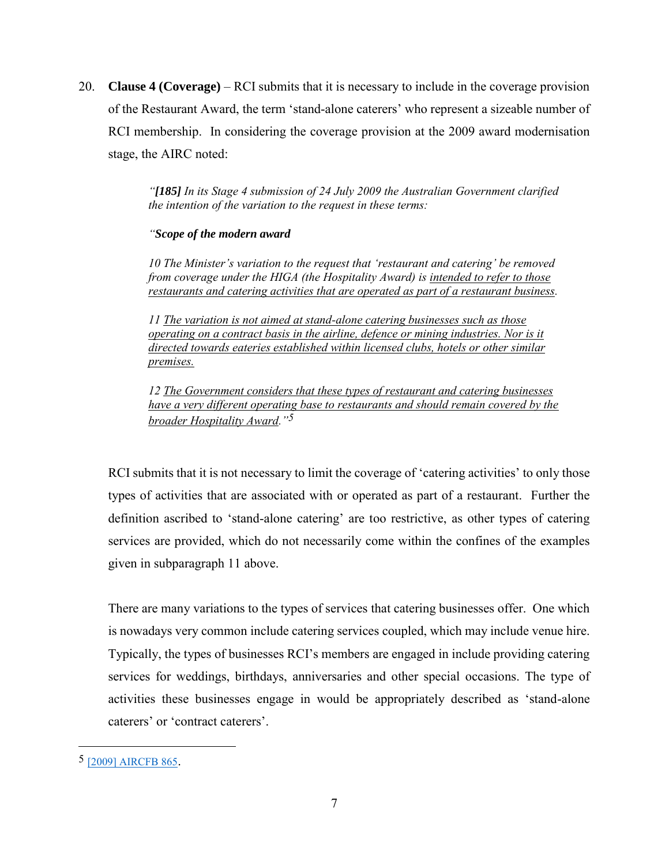20. **Clause 4 (Coverage)** – RCI submits that it is necessary to include in the coverage provision of the Restaurant Award, the term 'stand-alone caterers' who represent a sizeable number of RCI membership. In considering the coverage provision at the 2009 award modernisation stage, the AIRC noted:

> *"[185] In its Stage 4 submission of 24 July 2009 the Australian Government clarified the intention of the variation to the request in these terms:*

#### *"Scope of the modern award*

*10 The Minister's variation to the request that 'restaurant and catering' be removed from coverage under the HIGA (the Hospitality Award) is intended to refer to those restaurants and catering activities that are operated as part of a restaurant business.*

*11 The variation is not aimed at stand-alone catering businesses such as those operating on a contract basis in the airline, defence or mining industries. Nor is it directed towards eateries established within licensed clubs, hotels or other similar premises.*

*12 The Government considers that these types of restaurant and catering businesses have a very different operating base to restaurants and should remain covered by the broader Hospitality Award."5*

RCI submits that it is not necessary to limit the coverage of 'catering activities' to only those types of activities that are associated with or operated as part of a restaurant. Further the definition ascribed to 'stand-alone catering' are too restrictive, as other types of catering services are provided, which do not necessarily come within the confines of the examples given in subparagraph 11 above.

There are many variations to the types of services that catering businesses offer. One which is nowadays very common include catering services coupled, which may include venue hire. Typically, the types of businesses RCI's members are engaged in include providing catering services for weddings, birthdays, anniversaries and other special occasions. The type of activities these businesses engage in would be appropriately described as 'stand-alone caterers' or 'contract caterers'.

<sup>5</sup> [\[2009\] AIRCFB 865](http://www.airc.gov.au/awardmod/databases/rest/Decisions/2009aircfb865.htm).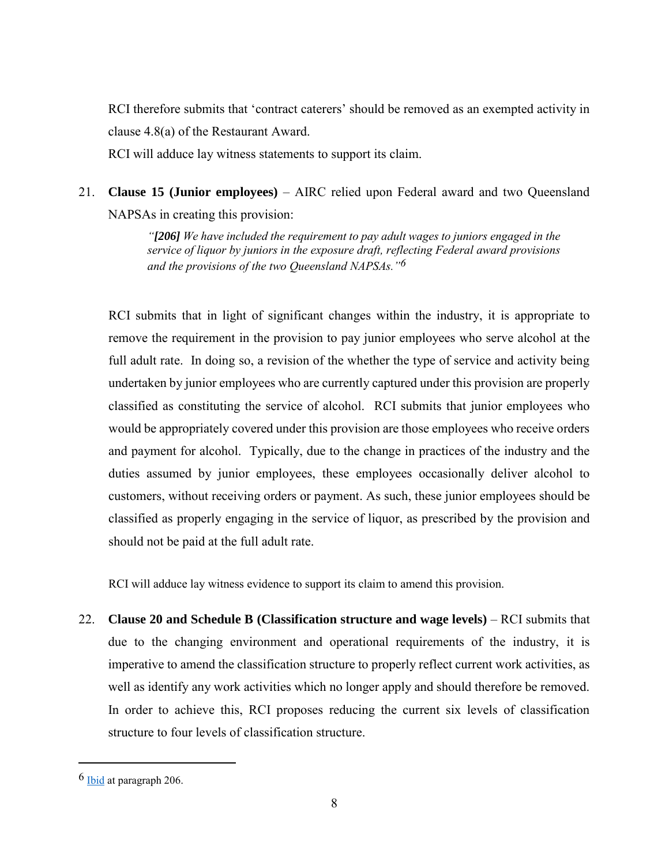RCI therefore submits that 'contract caterers' should be removed as an exempted activity in clause 4.8(a) of the Restaurant Award.

RCI will adduce lay witness statements to support its claim.

21. **Clause 15 (Junior employees)** – AIRC relied upon Federal award and two Queensland NAPSAs in creating this provision:

> *"[206] We have included the requirement to pay adult wages to juniors engaged in the service of liquor by juniors in the exposure draft, reflecting Federal award provisions and the provisions of the two Queensland NAPSAs."6*

RCI submits that in light of significant changes within the industry, it is appropriate to remove the requirement in the provision to pay junior employees who serve alcohol at the full adult rate. In doing so, a revision of the whether the type of service and activity being undertaken by junior employees who are currently captured under this provision are properly classified as constituting the service of alcohol. RCI submits that junior employees who would be appropriately covered under this provision are those employees who receive orders and payment for alcohol. Typically, due to the change in practices of the industry and the duties assumed by junior employees, these employees occasionally deliver alcohol to customers, without receiving orders or payment. As such, these junior employees should be classified as properly engaging in the service of liquor, as prescribed by the provision and should not be paid at the full adult rate.

RCI will adduce lay witness evidence to support its claim to amend this provision.

22. **Clause 20 and Schedule B (Classification structure and wage levels)** – RCI submits that due to the changing environment and operational requirements of the industry, it is imperative to amend the classification structure to properly reflect current work activities, as well as identify any work activities which no longer apply and should therefore be removed. In order to achieve this, RCI proposes reducing the current six levels of classification structure to four levels of classification structure.

<sup>6</sup> [Ibid](http://www.airc.gov.au/awardmod/databases/rest/Decisions/2009aircfb865.htm) at paragraph 206.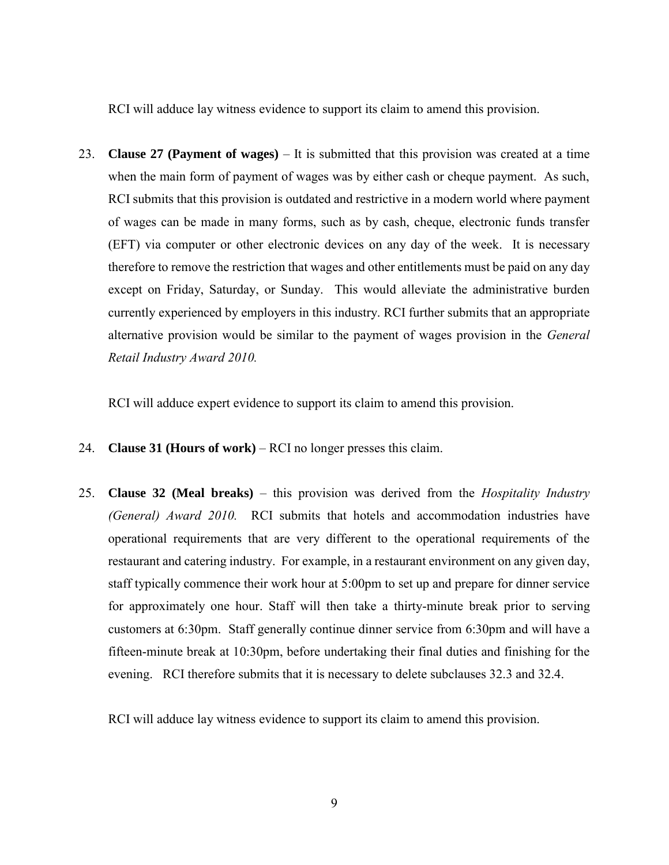RCI will adduce lay witness evidence to support its claim to amend this provision.

23. **Clause 27 (Payment of wages)** – It is submitted that this provision was created at a time when the main form of payment of wages was by either cash or cheque payment. As such, RCI submits that this provision is outdated and restrictive in a modern world where payment of wages can be made in many forms, such as by cash, cheque, electronic funds transfer (EFT) via computer or other electronic devices on any day of the week. It is necessary therefore to remove the restriction that wages and other entitlements must be paid on any day except on Friday, Saturday, or Sunday. This would alleviate the administrative burden currently experienced by employers in this industry. RCI further submits that an appropriate alternative provision would be similar to the payment of wages provision in the *General Retail Industry Award 2010.*

RCI will adduce expert evidence to support its claim to amend this provision.

- 24. **Clause 31 (Hours of work)** RCI no longer presses this claim.
- 25. **Clause 32 (Meal breaks)**  this provision was derived from the *Hospitality Industry (General) Award 2010.* RCI submits that hotels and accommodation industries have operational requirements that are very different to the operational requirements of the restaurant and catering industry. For example, in a restaurant environment on any given day, staff typically commence their work hour at 5:00pm to set up and prepare for dinner service for approximately one hour. Staff will then take a thirty-minute break prior to serving customers at 6:30pm. Staff generally continue dinner service from 6:30pm and will have a fifteen-minute break at 10:30pm, before undertaking their final duties and finishing for the evening. RCI therefore submits that it is necessary to delete subclauses 32.3 and 32.4.

RCI will adduce lay witness evidence to support its claim to amend this provision.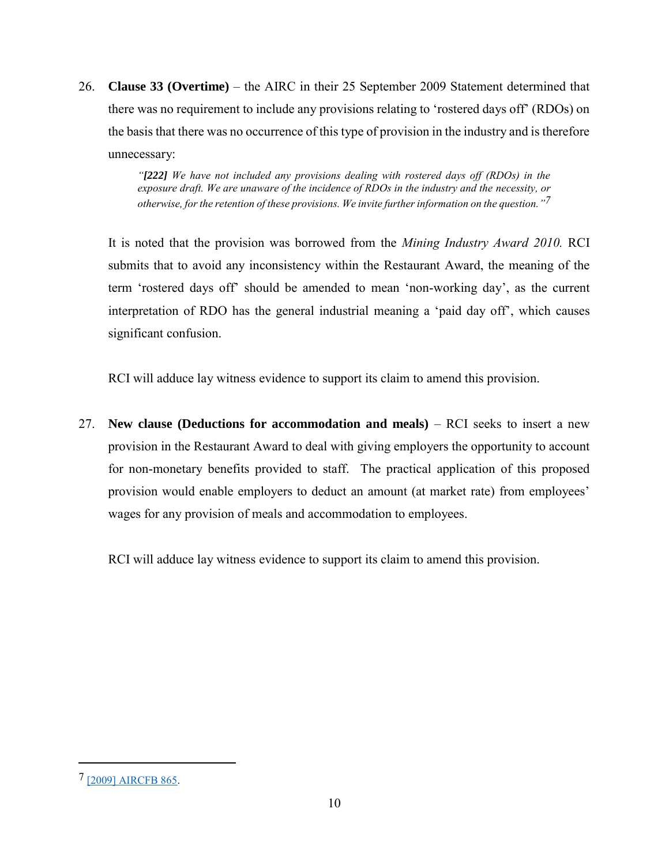26. **Clause 33 (Overtime)** – the AIRC in their 25 September 2009 Statement determined that there was no requirement to include any provisions relating to 'rostered days off' (RDOs) on the basis that there was no occurrence of this type of provision in the industry and is therefore unnecessary:

> *"[222] We have not included any provisions dealing with rostered days off (RDOs) in the exposure draft. We are unaware of the incidence of RDOs in the industry and the necessity, or otherwise, for the retention of these provisions. We invite further information on the question." 7*

It is noted that the provision was borrowed from the *Mining Industry Award 2010.* RCI submits that to avoid any inconsistency within the Restaurant Award, the meaning of the term 'rostered days off' should be amended to mean 'non-working day', as the current interpretation of RDO has the general industrial meaning a 'paid day off', which causes significant confusion.

RCI will adduce lay witness evidence to support its claim to amend this provision.

27. **New clause (Deductions for accommodation and meals)** – RCI seeks to insert a new provision in the Restaurant Award to deal with giving employers the opportunity to account for non-monetary benefits provided to staff. The practical application of this proposed provision would enable employers to deduct an amount (at market rate) from employees' wages for any provision of meals and accommodation to employees.

RCI will adduce lay witness evidence to support its claim to amend this provision.

<sup>7</sup> [\[2009\] AIRCFB 865.](http://www.airc.gov.au/awardmod/databases/rest/Decisions/2009aircfb865.htm)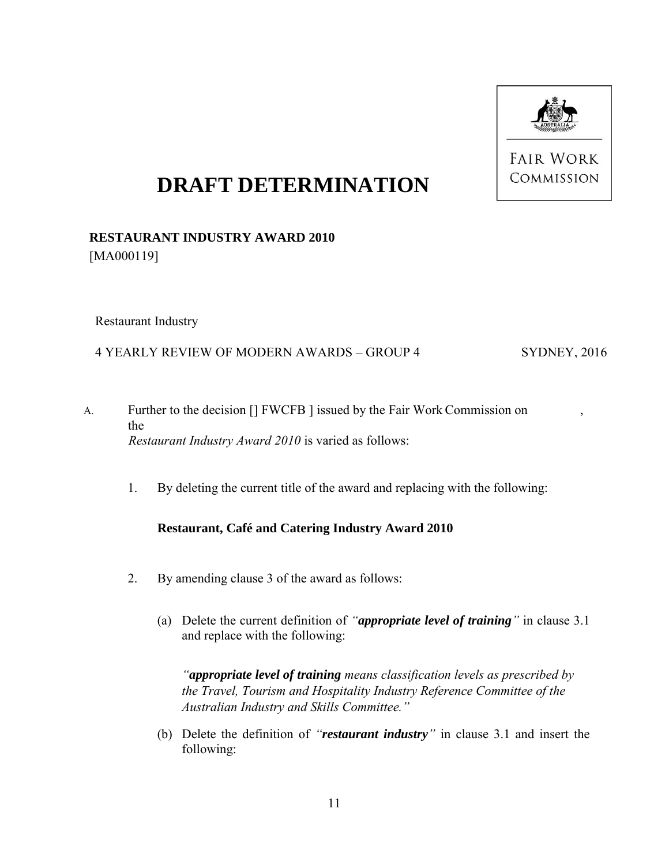

**FAIR WORK** COMMISSION

# **DRAFT DETERMINATION**

# **RESTAURANT INDUSTRY AWARD 2010** [MA000119]

Restaurant Industry

### 4 YEARLY REVIEW OF MODERN AWARDS – GROUP 4

SYDNEY, 2016

- A. Further to the decision [] FWCFB ] issued by the Fair Work Commission on , the *Restaurant Industry Award 2010* is varied as follows:
	- 1. By deleting the current title of the award and replacing with the following:

## **Restaurant, Café and Catering Industry Award 2010**

- 2. By amending clause 3 of the award as follows:
	- (a) Delete the current definition of *"appropriate level of training"* in clause 3.1 and replace with the following:

*"appropriate level of training means classification levels as prescribed by the Travel, Tourism and Hospitality Industry Reference Committee of the Australian Industry and Skills Committee."* 

(b) Delete the definition of *"restaurant industry"* in clause 3.1 and insert the following: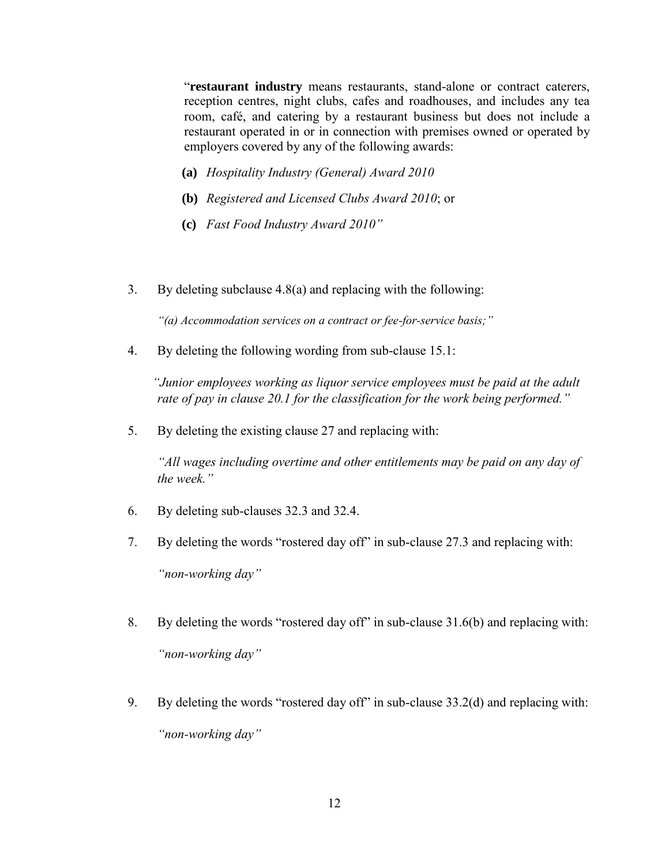"**restaurant industry** means restaurants, stand-alone or contract caterers, reception centres, night clubs, cafes and roadhouses, and includes any tea room, café, and catering by a restaurant business but does not include a restaurant operated in or in connection with premises owned or operated by employers covered by any of the following awards:

- **(a)** *Hospitality Industry (General) Award 2010*
- **(b)** *Registered and Licensed Clubs Award 2010*; or
- **(c)** *Fast Food Industry Award 2010"*
- 3. By deleting subclause 4.8(a) and replacing with the following:

*"(a) Accommodation services on a contract or fee-for-service basis;"*

4. By deleting the following wording from sub-clause 15.1:

*"Junior employees working as liquor service employees must be paid at the adult rate of pay in clause 20.1 for the classification for the work being performed."*

5. By deleting the existing clause 27 and replacing with:

*"All wages including overtime and other entitlements may be paid on any day of the week."*

- 6. By deleting sub-clauses 32.3 and 32.4.
- 7. By deleting the words "rostered day off" in sub-clause 27.3 and replacing with: *"non-working day"*
- 8. By deleting the words "rostered day off" in sub-clause 31.6(b) and replacing with: *"non-working day"*
- 9. By deleting the words "rostered day off" in sub-clause 33.2(d) and replacing with: *"non-working day"*